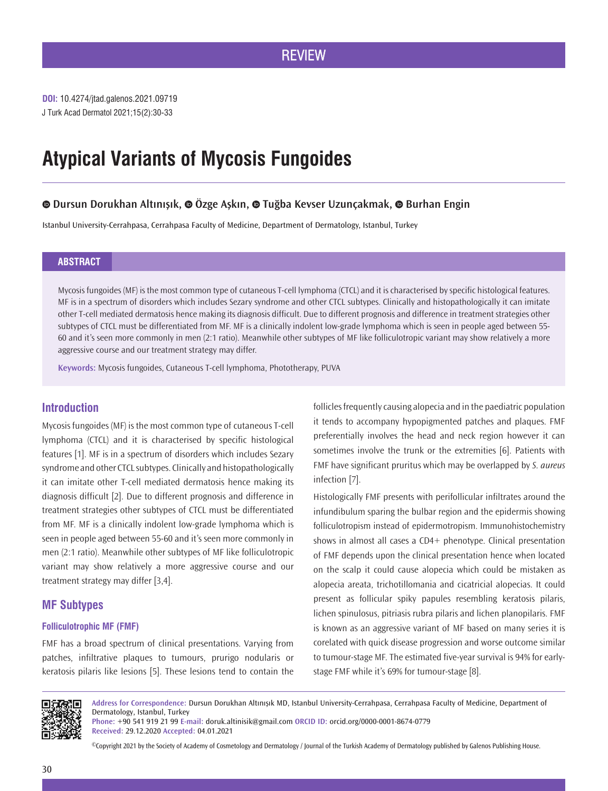J Turk Acad Dermatol 2021;15(2):30-33 **DOI:** 10.4274/jtad.galenos.2021.09719

# **Atypical Variants of Mycosis Fungoides**

# **Dursun Dorukhan Altınışık,Özge Aşkın,Tuğba Kevser Uzunçakmak,Burhan Engin**

Istanbul University-Cerrahpasa, Cerrahpasa Faculty of Medicine, Department of Dermatology, Istanbul, Turkey

## **ABSTRACT**

Mycosis fungoides (MF) is the most common type of cutaneous T-cell lymphoma (CTCL) and it is characterised by specific histological features. MF is in a spectrum of disorders which includes Sezary syndrome and other CTCL subtypes. Clinically and histopathologically it can imitate other T-cell mediated dermatosis hence making its diagnosis difficult. Due to different prognosis and difference in treatment strategies other subtypes of CTCL must be differentiated from MF. MF is a clinically indolent low-grade lymphoma which is seen in people aged between 55- 60 and it's seen more commonly in men (2:1 ratio). Meanwhile other subtypes of MF like folliculotropic variant may show relatively a more aggressive course and our treatment strategy may differ.

**Keywords:** Mycosis fungoides, Cutaneous T-cell lymphoma, Phototherapy, PUVA

## **Introduction**

Mycosis fungoides (MF) is the most common type of cutaneous T-cell lymphoma (CTCL) and it is characterised by specific histological features [1]. MF is in a spectrum of disorders which includes Sezary syndrome and other CTCL subtypes. Clinically and histopathologically it can imitate other T-cell mediated dermatosis hence making its diagnosis difficult [2]. Due to different prognosis and difference in treatment strategies other subtypes of CTCL must be differentiated from MF. MF is a clinically indolent low-grade lymphoma which is seen in people aged between 55-60 and it's seen more commonly in men (2:1 ratio). Meanwhile other subtypes of MF like folliculotropic variant may show relatively a more aggressive course and our treatment strategy may differ [3,4].

# **MF Subtypes**

## **Folliculotrophic MF (FMF)**

FMF has a broad spectrum of clinical presentations. Varying from patches, infiltrative plaques to tumours, prurigo nodularis or keratosis pilaris like lesions [5]. These lesions tend to contain the

follicles frequently causing alopecia and in the paediatric population it tends to accompany hypopigmented patches and plaques. FMF preferentially involves the head and neck region however it can sometimes involve the trunk or the extremities [6]. Patients with FMF have significant pruritus which may be overlapped by *S. aureus*  infection [7].

Histologically FMF presents with perifollicular infiltrates around the infundibulum sparing the bulbar region and the epidermis showing folliculotropism instead of epidermotropism. Immunohistochemistry shows in almost all cases a CD4+ phenotype. Clinical presentation of FMF depends upon the clinical presentation hence when located on the scalp it could cause alopecia which could be mistaken as alopecia areata, trichotillomania and cicatricial alopecias. It could present as follicular spiky papules resembling keratosis pilaris, lichen spinulosus, pitriasis rubra pilaris and lichen planopilaris. FMF is known as an aggressive variant of MF based on many series it is corelated with quick disease progression and worse outcome similar to tumour-stage MF. The estimated five-year survival is 94% for earlystage FMF while it's 69% for tumour-stage [8].



**Address for Correspondence:** Dursun Dorukhan Altınışık MD, Istanbul University-Cerrahpasa, Cerrahpasa Faculty of Medicine, Department of Dermatology, Istanbul, Turkey

**Phone:** +90 541 919 21 99 **E-mail:** doruk.altinisik@gmail.com **ORCID ID:** orcid.org/0000-0001-8674-0779 **Received:** 29.12.2020 **Accepted:** 04.01.2021

©Copyright 2021 by the Society of Academy of Cosmetology and Dermatology / Journal of the Turkish Academy of Dermatology published by Galenos Publishing House.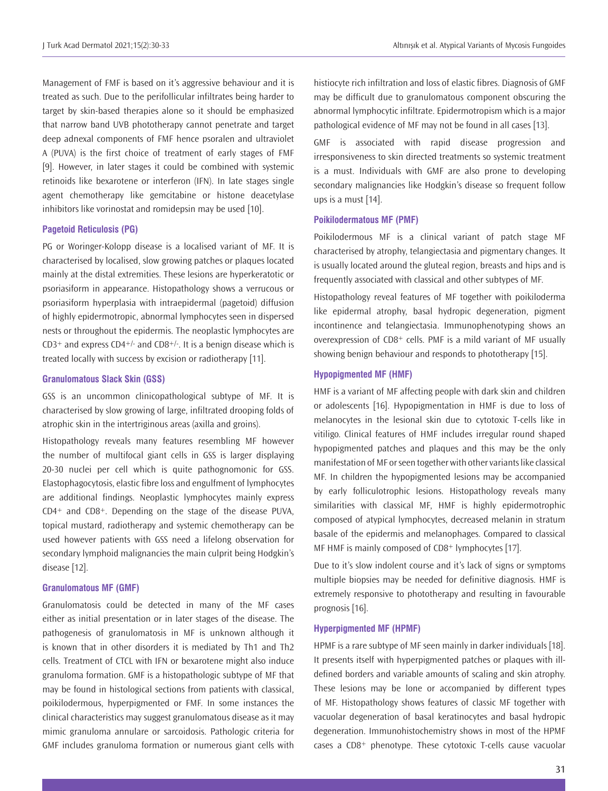Management of FMF is based on it's aggressive behaviour and it is treated as such. Due to the perifollicular infiltrates being harder to target by skin-based therapies alone so it should be emphasized that narrow band UVB phototherapy cannot penetrate and target deep adnexal components of FMF hence psoralen and ultraviolet A (PUVA) is the first choice of treatment of early stages of FMF [9]. However, in later stages it could be combined with systemic retinoids like bexarotene or interferon (IFN). In late stages single agent chemotherapy like gemcitabine or histone deacetylase inhibitors like vorinostat and romidepsin may be used [10].

## **Pagetoid Reticulosis (PG)**

PG or Woringer-Kolopp disease is a localised variant of MF. It is characterised by localised, slow growing patches or plaques located mainly at the distal extremities. These lesions are hyperkeratotic or psoriasiform in appearance. Histopathology shows a verrucous or psoriasiform hyperplasia with intraepidermal (pagetoid) diffusion of highly epidermotropic, abnormal lymphocytes seen in dispersed nests or throughout the epidermis. The neoplastic lymphocytes are  $CD3<sup>+</sup>$  and express  $CD4<sup>+/-</sup>$  and  $CD8<sup>+/-</sup>$ . It is a benign disease which is treated locally with success by excision or radiotherapy [11].

#### **Granulomatous Slack Skin (GSS)**

GSS is an uncommon clinicopathological subtype of MF. It is characterised by slow growing of large, infiltrated drooping folds of atrophic skin in the intertriginous areas (axilla and groins).

Histopathology reveals many features resembling MF however the number of multifocal giant cells in GSS is larger displaying 20-30 nuclei per cell which is quite pathognomonic for GSS. Elastophagocytosis, elastic fibre loss and engulfment of lymphocytes are additional findings. Neoplastic lymphocytes mainly express CD4+ and CD8+. Depending on the stage of the disease PUVA, topical mustard, radiotherapy and systemic chemotherapy can be used however patients with GSS need a lifelong observation for secondary lymphoid malignancies the main culprit being Hodgkin's disease [12].

#### **Granulomatous MF (GMF)**

Granulomatosis could be detected in many of the MF cases either as initial presentation or in later stages of the disease. The pathogenesis of granulomatosis in MF is unknown although it is known that in other disorders it is mediated by Th1 and Th2 cells. Treatment of CTCL with IFN or bexarotene might also induce granuloma formation. GMF is a histopathologic subtype of MF that may be found in histological sections from patients with classical, poikilodermous, hyperpigmented or FMF. In some instances the clinical characteristics may suggest granulomatous disease as it may mimic granuloma annulare or sarcoidosis. Pathologic criteria for GMF includes granuloma formation or numerous giant cells with

histiocyte rich infiltration and loss of elastic fibres. Diagnosis of GMF may be difficult due to granulomatous component obscuring the abnormal lymphocytic infiltrate. Epidermotropism which is a major pathological evidence of MF may not be found in all cases [13].

GMF is associated with rapid disease progression and irresponsiveness to skin directed treatments so systemic treatment is a must. Individuals with GMF are also prone to developing secondary malignancies like Hodgkin's disease so frequent follow ups is a must [14].

## **Poikilodermatous MF (PMF)**

Poikilodermous MF is a clinical variant of patch stage MF characterised by atrophy, telangiectasia and pigmentary changes. It is usually located around the gluteal region, breasts and hips and is frequently associated with classical and other subtypes of MF.

Histopathology reveal features of MF together with poikiloderma like epidermal atrophy, basal hydropic degeneration, pigment incontinence and telangiectasia. Immunophenotyping shows an overexpression of CD8+ cells. PMF is a mild variant of MF usually showing benign behaviour and responds to phototherapy [15].

## **Hypopigmented MF (HMF)**

HMF is a variant of MF affecting people with dark skin and children or adolescents [16]. Hypopigmentation in HMF is due to loss of melanocytes in the lesional skin due to cytotoxic T-cells like in vitiligo. Clinical features of HMF includes irregular round shaped hypopigmented patches and plaques and this may be the only manifestation of MF or seen together with other variants like classical MF. In children the hypopigmented lesions may be accompanied by early folliculotrophic lesions. Histopathology reveals many similarities with classical MF, HMF is highly epidermotrophic composed of atypical lymphocytes, decreased melanin in stratum basale of the epidermis and melanophages. Compared to classical MF HMF is mainly composed of CD8+ lymphocytes [17].

Due to it's slow indolent course and it's lack of signs or symptoms multiple biopsies may be needed for definitive diagnosis. HMF is extremely responsive to phototherapy and resulting in favourable prognosis [16].

## **Hyperpigmented MF (HPMF)**

HPMF is a rare subtype of MF seen mainly in darker individuals [18]. It presents itself with hyperpigmented patches or plaques with illdefined borders and variable amounts of scaling and skin atrophy. These lesions may be lone or accompanied by different types of MF. Histopathology shows features of classic MF together with vacuolar degeneration of basal keratinocytes and basal hydropic degeneration. Immunohistochemistry shows in most of the HPMF cases a CD8+ phenotype. These cytotoxic T-cells cause vacuolar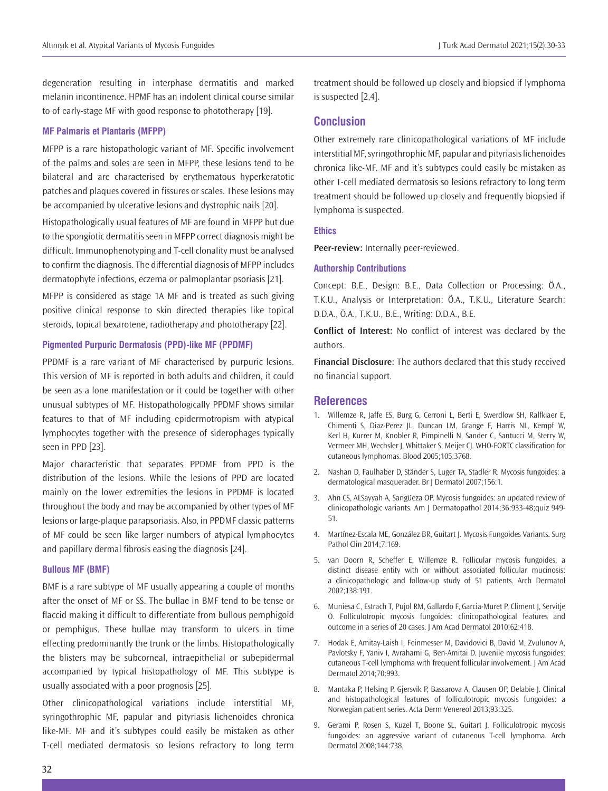degeneration resulting in interphase dermatitis and marked melanin incontinence. HPMF has an indolent clinical course similar to of early-stage MF with good response to phototherapy [19].

#### **MF Palmaris et Plantaris (MFPP)**

MFPP is a rare histopathologic variant of MF. Specific involvement of the palms and soles are seen in MFPP, these lesions tend to be bilateral and are characterised by erythematous hyperkeratotic patches and plaques covered in fissures or scales. These lesions may be accompanied by ulcerative lesions and dystrophic nails [20].

Histopathologically usual features of MF are found in MFPP but due to the spongiotic dermatitis seen in MFPP correct diagnosis might be difficult. Immunophenotyping and T-cell clonality must be analysed to confirm the diagnosis. The differential diagnosis of MFPP includes dermatophyte infections, eczema or palmoplantar psoriasis [21].

MFPP is considered as stage 1A MF and is treated as such giving positive clinical response to skin directed therapies like topical steroids, topical bexarotene, radiotherapy and phototherapy [22].

### **Pigmented Purpuric Dermatosis (PPD)-like MF (PPDMF)**

PPDMF is a rare variant of MF characterised by purpuric lesions. This version of MF is reported in both adults and children, it could be seen as a lone manifestation or it could be together with other unusual subtypes of MF. Histopathologically PPDMF shows similar features to that of MF including epidermotropism with atypical lymphocytes together with the presence of siderophages typically seen in PPD [23].

Major characteristic that separates PPDMF from PPD is the distribution of the lesions. While the lesions of PPD are located mainly on the lower extremities the lesions in PPDMF is located throughout the body and may be accompanied by other types of MF lesions or large-plaque parapsoriasis. Also, in PPDMF classic patterns of MF could be seen like larger numbers of atypical lymphocytes and papillary dermal fibrosis easing the diagnosis [24].

#### **Bullous MF (BMF)**

BMF is a rare subtype of MF usually appearing a couple of months after the onset of MF or SS. The bullae in BMF tend to be tense or flaccid making it difficult to differentiate from bullous pemphigoid or pemphigus. These bullae may transform to ulcers in time effecting predominantly the trunk or the limbs. Histopathologically the blisters may be subcorneal, intraepithelial or subepidermal accompanied by typical histopathology of MF. This subtype is usually associated with a poor prognosis [25].

Other clinicopathological variations include interstitial MF, syringothrophic MF, papular and pityriasis lichenoides chronica like-MF. MF and it's subtypes could easily be mistaken as other T-cell mediated dermatosis so lesions refractory to long term

treatment should be followed up closely and biopsied if lymphoma is suspected [2,4].

## **Conclusion**

Other extremely rare clinicopathological variations of MF include interstitial MF, syringothrophic MF, papular and pityriasis lichenoides chronica like-MF. MF and it's subtypes could easily be mistaken as other T-cell mediated dermatosis so lesions refractory to long term treatment should be followed up closely and frequently biopsied if lymphoma is suspected.

### **Ethics**

**Peer-review:** Internally peer-reviewed.

#### **Authorship Contributions**

Concept: B.E., Design: B.E., Data Collection or Processing: Ö.A., T.K.U., Analysis or Interpretation: Ö.A., T.K.U., Literature Search: D.D.A., Ö.A., T.K.U., B.E., Writing: D.D.A., B.E.

**Conflict of Interest:** No conflict of interest was declared by the authors.

**Financial Disclosure:** The authors declared that this study received no financial support.

### **References**

- 1. Willemze R, Jaffe ES, Burg G, Cerroni L, Berti E, Swerdlow SH, Ralfkiaer E, Chimenti S, Diaz-Perez JL, Duncan LM, Grange F, Harris NL, Kempf W, Kerl H, Kurrer M, Knobler R, Pimpinelli N, Sander C, Santucci M, Sterry W, Vermeer MH, Wechsler J, Whittaker S, Meijer CJ. WHO-EORTC classification for cutaneous lymphomas. Blood 2005;105:3768.
- 2. Nashan D, Faulhaber D, Ständer S, Luger TA, Stadler R. Mycosis fungoides: a dermatological masquerader. Br J Dermatol 2007;156:1.
- 3. Ahn CS, ALSayyah A, Sangüeza OP. Mycosis fungoides: an updated review of clinicopathologic variants. Am J Dermatopathol 2014;36:933-48;quiz 949- 51.
- 4. Martínez-Escala ME, González BR, Guitart J. Mycosis Fungoides Variants. Surg Pathol Clin 2014;7:169.
- 5. van Doorn R, Scheffer E, Willemze R. Follicular mycosis fungoides, a distinct disease entity with or without associated follicular mucinosis: a clinicopathologic and follow-up study of 51 patients. Arch Dermatol 2002;138:191.
- 6. Muniesa C, Estrach T, Pujol RM, Gallardo F, Garcia-Muret P, Climent J, Servitje O. Folliculotropic mycosis fungoides: clinicopathological features and outcome in a series of 20 cases. J Am Acad Dermatol 2010;62:418.
- 7. Hodak E, Amitay-Laish I, Feinmesser M, Davidovici B, David M, Zvulunov A, Pavlotsky F, Yaniv I, Avrahami G, Ben-Amitai D. Juvenile mycosis fungoides: cutaneous T-cell lymphoma with frequent follicular involvement. J Am Acad Dermatol 2014;70:993.
- 8. Mantaka P, Helsing P, Gjersvik P, Bassarova A, Clausen OP, Delabie J. Clinical and histopathological features of folliculotropic mycosis fungoides: a Norwegian patient series. Acta Derm Venereol 2013;93:325.
- 9. Gerami P, Rosen S, Kuzel T, Boone SL, Guitart J. Folliculotropic mycosis fungoides: an aggressive variant of cutaneous T-cell lymphoma. Arch Dermatol 2008;144:738.